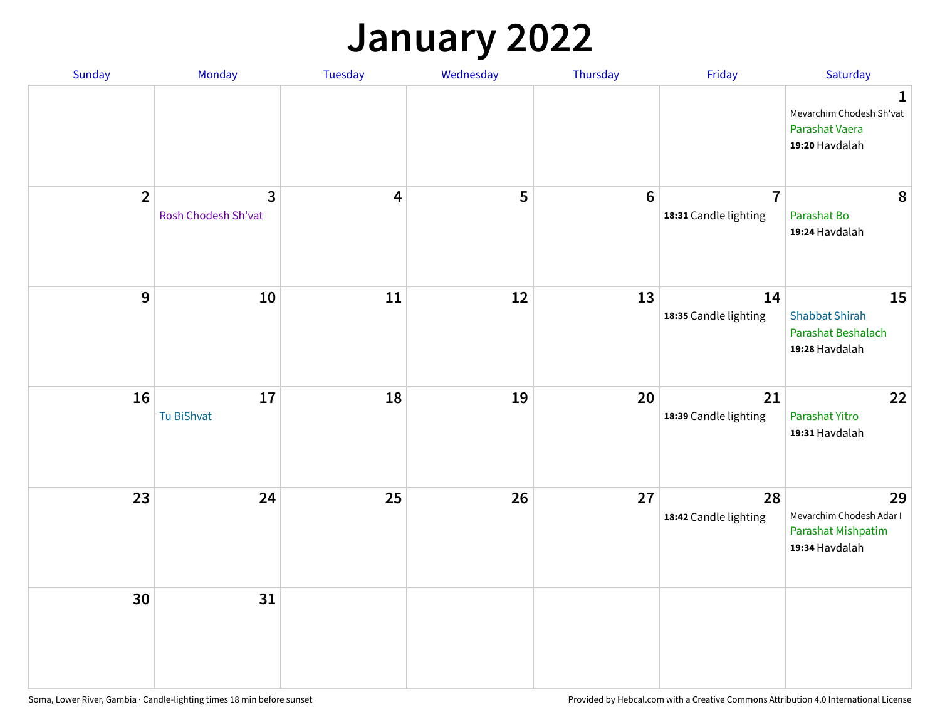## **January 2022**

| Sunday         | Monday                                         | Tuesday                 | Wednesday | Thursday         | Friday                                  | Saturday                                                                     |
|----------------|------------------------------------------------|-------------------------|-----------|------------------|-----------------------------------------|------------------------------------------------------------------------------|
|                |                                                |                         |           |                  |                                         | $\mathbf{1}$<br>Mevarchim Chodesh Sh'vat<br>Parashat Vaera<br>19:20 Havdalah |
| $\overline{2}$ | $\overline{\mathbf{3}}$<br>Rosh Chodesh Sh'vat | $\overline{\mathbf{4}}$ | 5         | $\boldsymbol{6}$ | $\overline{7}$<br>18:31 Candle lighting | 8<br>Parashat Bo<br>19:24 Havdalah                                           |
| $\mathbf{9}$   | 10                                             | ${\bf 11}$              | 12        | 13               | 14<br>18:35 Candle lighting             | 15<br><b>Shabbat Shirah</b><br>Parashat Beshalach<br>19:28 Havdalah          |
| 16             | 17<br>Tu BiShvat                               | 18                      | 19        | 20               | 21<br>18:39 Candle lighting             | 22<br>Parashat Yitro<br>19:31 Havdalah                                       |
| 23             | 24                                             | 25                      | 26        | 27               | 28<br>18:42 Candle lighting             | 29<br>Mevarchim Chodesh Adar I<br>Parashat Mishpatim<br>19:34 Havdalah       |
| 30             | 31                                             |                         |           |                  |                                         |                                                                              |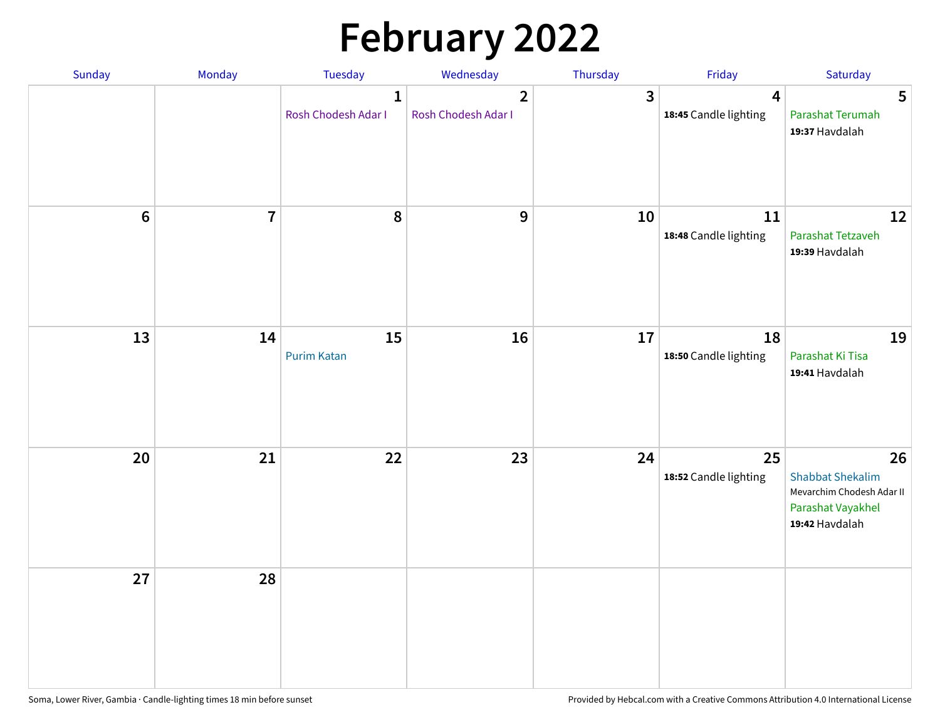# **February 2022**

| Sunday | Monday         | Tuesday                             | Wednesday                             | Thursday                | Friday                                           | Saturday                                                                                          |
|--------|----------------|-------------------------------------|---------------------------------------|-------------------------|--------------------------------------------------|---------------------------------------------------------------------------------------------------|
|        |                | $\mathbf{1}$<br>Rosh Chodesh Adar I | $\overline{2}$<br>Rosh Chodesh Adar I | $\overline{\mathbf{3}}$ | $\overline{\mathbf{4}}$<br>18:45 Candle lighting | 5<br>Parashat Terumah<br>19:37 Havdalah                                                           |
| $6\,$  | $\overline{7}$ | 8                                   | 9                                     | 10                      | ${\bf 11}$<br>18:48 Candle lighting              | 12<br>Parashat Tetzaveh<br>19:39 Havdalah                                                         |
| 13     | 14             | 15<br><b>Purim Katan</b>            | 16                                    | 17                      | 18<br>18:50 Candle lighting                      | 19<br>Parashat Ki Tisa<br>19:41 Havdalah                                                          |
| 20     | 21             | 22                                  | 23                                    | 24                      | 25<br>18:52 Candle lighting                      | 26<br><b>Shabbat Shekalim</b><br>Mevarchim Chodesh Adar II<br>Parashat Vayakhel<br>19:42 Havdalah |
| 27     | 28             |                                     |                                       |                         |                                                  |                                                                                                   |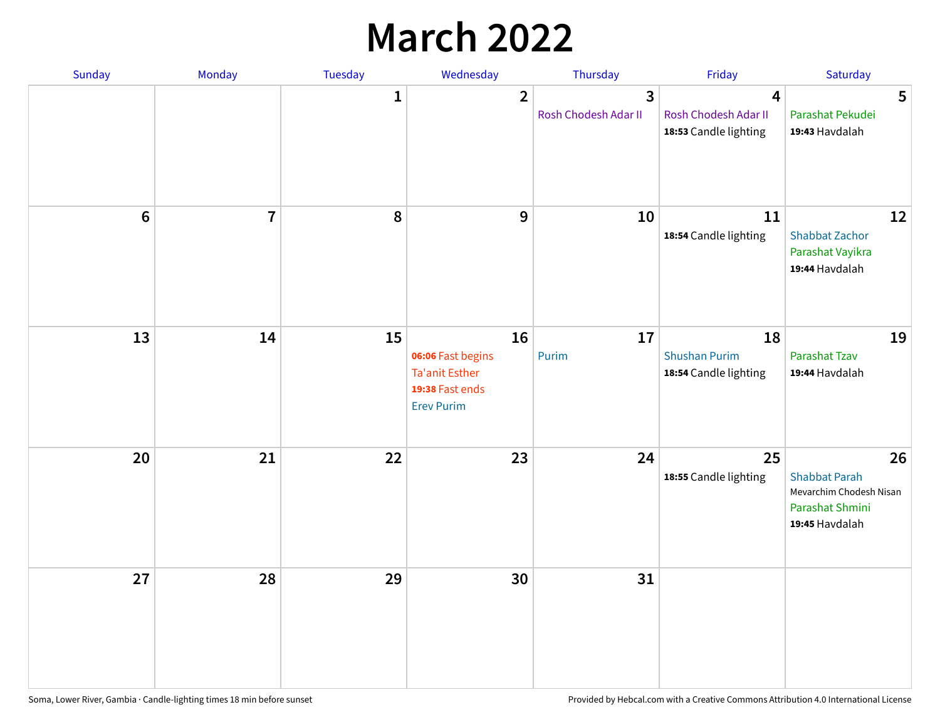## **March 2022**

| Sunday  | <b>Monday</b>  | <b>Tuesday</b> | Wednesday                                                                                | Thursday                                        | Friday                                              | Saturday                                                                                   |
|---------|----------------|----------------|------------------------------------------------------------------------------------------|-------------------------------------------------|-----------------------------------------------------|--------------------------------------------------------------------------------------------|
|         |                | $\mathbf{1}$   | $\overline{2}$                                                                           | $\overline{\mathbf{3}}$<br>Rosh Chodesh Adar II | 4<br>Rosh Chodesh Adar II<br>18:53 Candle lighting  | 5<br>Parashat Pekudei<br>19:43 Havdalah                                                    |
| $\bf 6$ | $\overline{7}$ | 8              | $\boldsymbol{9}$                                                                         | 10                                              | 11<br>18:54 Candle lighting                         | 12<br><b>Shabbat Zachor</b><br>Parashat Vayikra<br>19:44 Havdalah                          |
| 13      | 14             | 15             | 16<br>06:06 Fast begins<br><b>Ta'anit Esther</b><br>19:38 Fast ends<br><b>Erev Purim</b> | 17<br>Purim                                     | 18<br><b>Shushan Purim</b><br>18:54 Candle lighting | 19<br>Parashat Tzav<br>19:44 Havdalah                                                      |
| 20      | 21             | 22             | 23                                                                                       | 24                                              | 25<br>18:55 Candle lighting                         | 26<br><b>Shabbat Parah</b><br>Mevarchim Chodesh Nisan<br>Parashat Shmini<br>19:45 Havdalah |
| 27      | 28             | 29             | 30                                                                                       | 31                                              |                                                     |                                                                                            |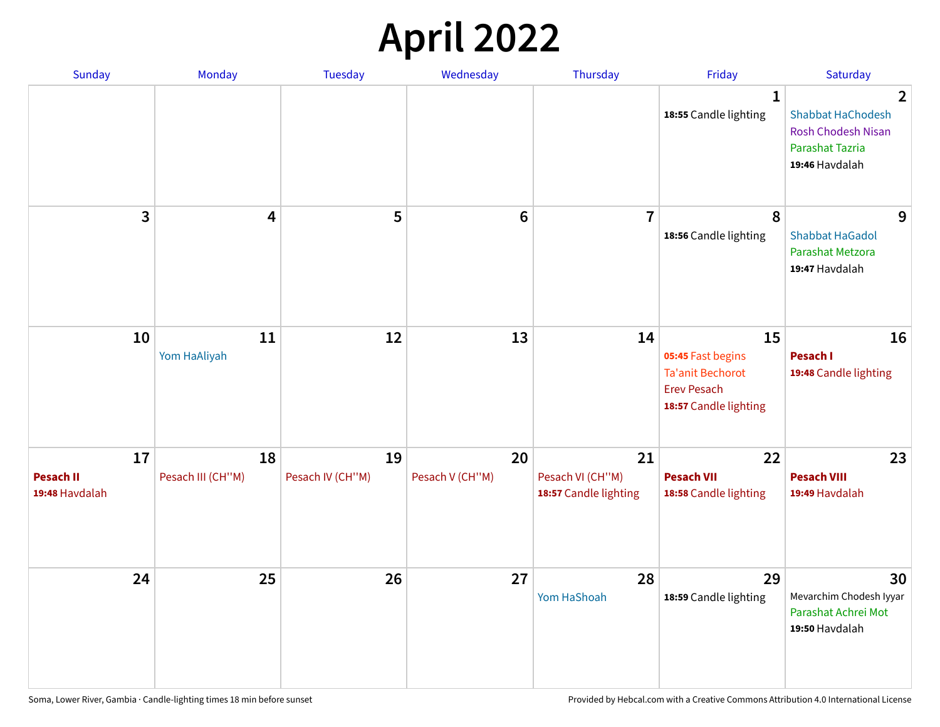## **April 2022**

| Sunday                                   | Monday                  | <b>Tuesday</b>         | Wednesday             | Thursday                                        | Friday                                                                                            | Saturday                                                                                                            |
|------------------------------------------|-------------------------|------------------------|-----------------------|-------------------------------------------------|---------------------------------------------------------------------------------------------------|---------------------------------------------------------------------------------------------------------------------|
|                                          |                         |                        |                       |                                                 | $\mathbf 1$<br>18:55 Candle lighting                                                              | $\overline{2}$<br><b>Shabbat HaChodesh</b><br><b>Rosh Chodesh Nisan</b><br><b>Parashat Tazria</b><br>19:46 Havdalah |
| 3                                        | $\overline{\mathbf{4}}$ | 5                      | $6\phantom{1}6$       | $\overline{7}$                                  | 8<br>18:56 Candle lighting                                                                        | 9<br><b>Shabbat HaGadol</b><br>Parashat Metzora<br>19:47 Havdalah                                                   |
| 10                                       | 11<br>Yom HaAliyah      | 12                     | 13                    | 14                                              | 15<br>05:45 Fast begins<br><b>Ta'anit Bechorot</b><br><b>Erev Pesach</b><br>18:57 Candle lighting | 16<br>Pesach I<br>19:48 Candle lighting                                                                             |
| 17<br><b>Pesach II</b><br>19:48 Havdalah | 18<br>Pesach III (CH"M) | 19<br>Pesach IV (CH"M) | 20<br>Pesach V (CH"M) | 21<br>Pesach VI (CH"M)<br>18:57 Candle lighting | 22<br><b>Pesach VII</b><br>18:58 Candle lighting                                                  | 23<br><b>Pesach VIII</b><br>19:49 Havdalah                                                                          |
| 24                                       | 25                      | 26                     | 27                    | 28<br>Yom HaShoah                               | 29<br>18:59 Candle lighting                                                                       | 30<br>Mevarchim Chodesh Iyyar<br>Parashat Achrei Mot<br>19:50 Havdalah                                              |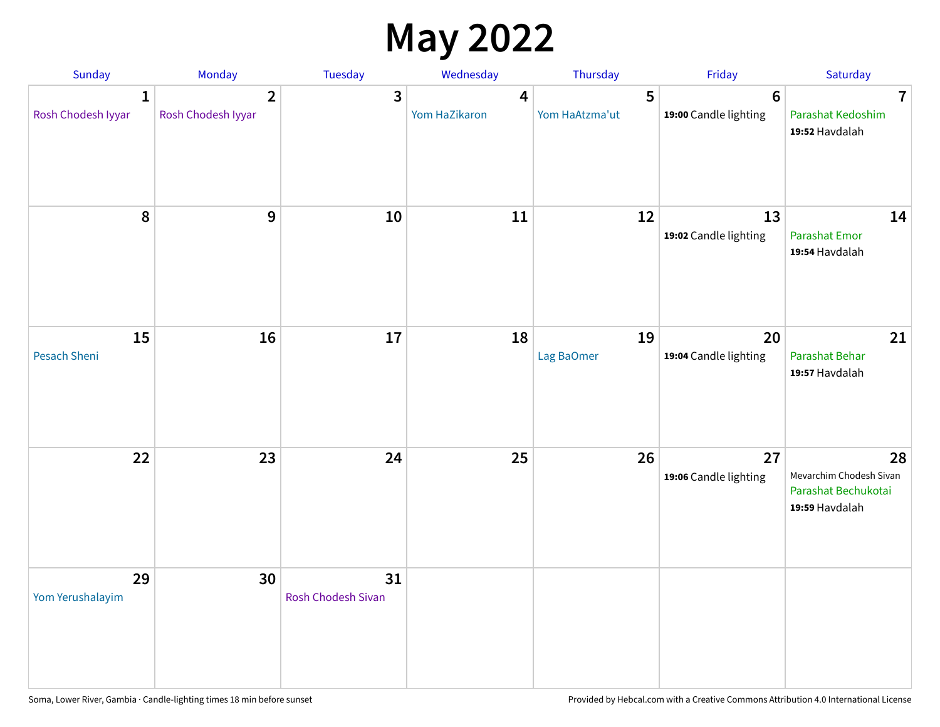## **May 2022**

| Sunday                             | Monday                               | Tuesday                         | Wednesday          | Thursday            | Friday                                   | Saturday                                                               |
|------------------------------------|--------------------------------------|---------------------------------|--------------------|---------------------|------------------------------------------|------------------------------------------------------------------------|
| $\mathbf{1}$<br>Rosh Chodesh Iyyar | $\overline{2}$<br>Rosh Chodesh Iyyar | 3                               | 4<br>Yom HaZikaron | 5<br>Yom HaAtzma'ut | $6\phantom{1}6$<br>19:00 Candle lighting | $\overline{7}$<br>Parashat Kedoshim<br>19:52 Havdalah                  |
| $\pmb{8}$                          | $\mathbf{9}$                         | 10                              | 11                 | 12                  | 13<br>19:02 Candle lighting              | 14<br><b>Parashat Emor</b><br>19:54 Havdalah                           |
| 15<br>Pesach Sheni                 | 16                                   | 17                              | 18                 | 19<br>Lag BaOmer    | 20<br>19:04 Candle lighting              | 21<br>Parashat Behar<br>19:57 Havdalah                                 |
| 22                                 | 23                                   | 24                              | 25                 | 26                  | 27<br>19:06 Candle lighting              | 28<br>Mevarchim Chodesh Sivan<br>Parashat Bechukotai<br>19:59 Havdalah |
| 29<br>Yom Yerushalayim             | 30                                   | 31<br><b>Rosh Chodesh Sivan</b> |                    |                     |                                          |                                                                        |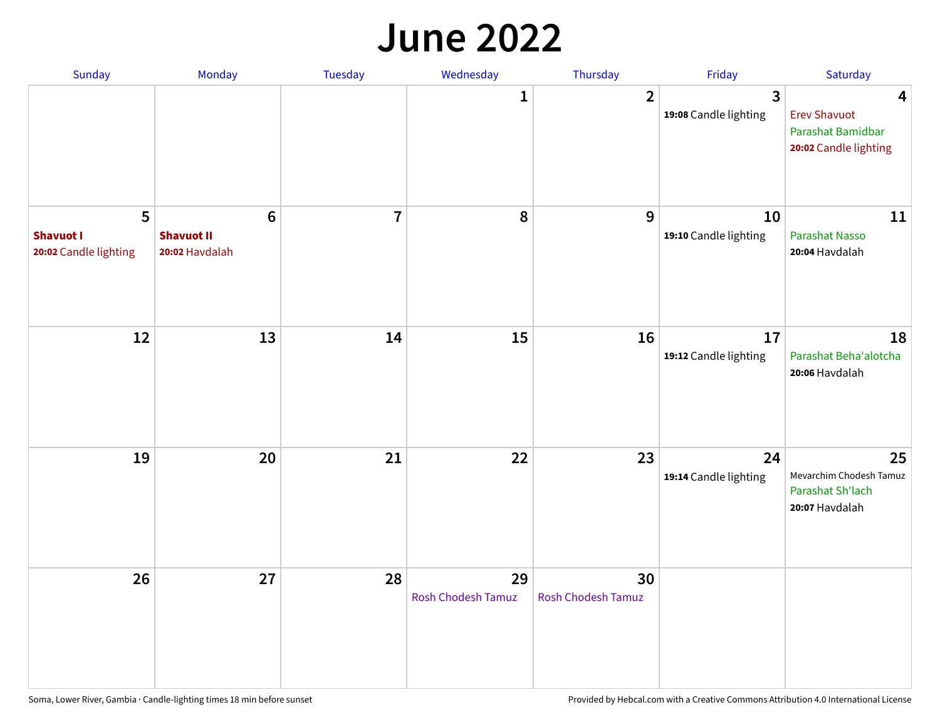#### **June 2022**

| Sunday                                         | Monday                                                | Tuesday        | Wednesday                       | Thursday                        | Friday                      | Saturday                                                               |
|------------------------------------------------|-------------------------------------------------------|----------------|---------------------------------|---------------------------------|-----------------------------|------------------------------------------------------------------------|
|                                                |                                                       |                | 1                               | $\overline{2}$                  | 3<br>19:08 Candle lighting  | 4<br><b>Erev Shavuot</b><br>Parashat Bamidbar<br>20:02 Candle lighting |
| 5<br><b>Shavuot I</b><br>20:02 Candle lighting | $6\phantom{1}$<br><b>Shavuot II</b><br>20:02 Havdalah | $\overline{7}$ | 8                               | 9                               | 10<br>19:10 Candle lighting | 11<br><b>Parashat Nasso</b><br>20:04 Havdalah                          |
| 12                                             | 13                                                    | 14             | 15                              | 16                              | 17<br>19:12 Candle lighting | 18<br>Parashat Beha'alotcha<br>20:06 Havdalah                          |
| 19                                             | 20                                                    | 21             | 22                              | 23                              | 24<br>19:14 Candle lighting | 25<br>Mevarchim Chodesh Tamuz<br>Parashat Sh'lach<br>20:07 Havdalah    |
| 26                                             | 27                                                    | 28             | 29<br><b>Rosh Chodesh Tamuz</b> | 30<br><b>Rosh Chodesh Tamuz</b> |                             |                                                                        |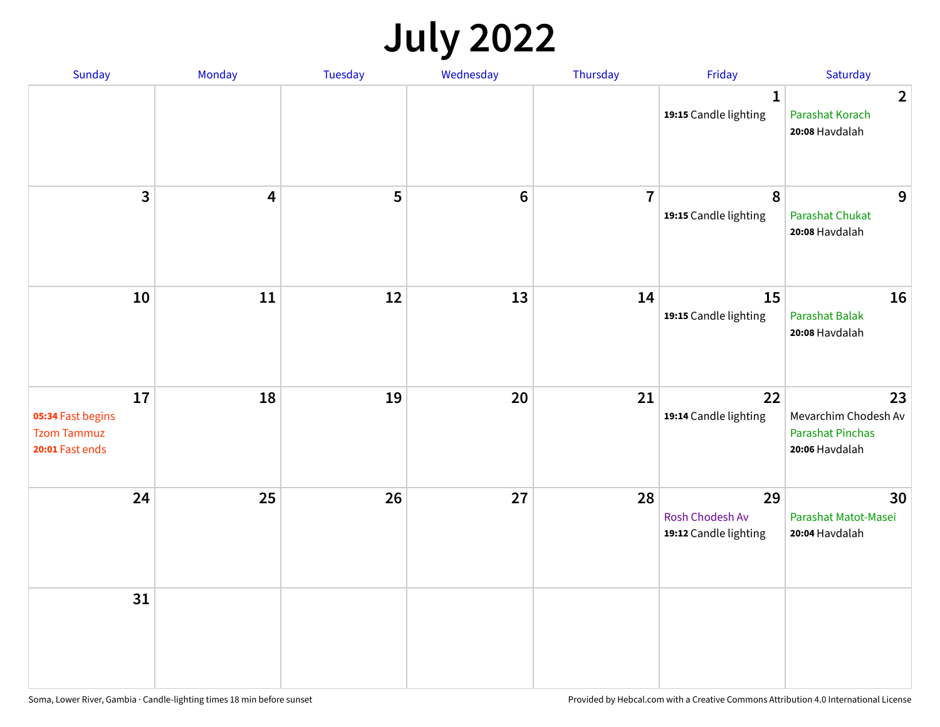## **July 2022**

| Sunday                                                           | Monday                  | Tuesday | Wednesday      | Thursday       | Friday                                         | Saturday                                                                |
|------------------------------------------------------------------|-------------------------|---------|----------------|----------------|------------------------------------------------|-------------------------------------------------------------------------|
|                                                                  |                         |         |                |                | $\mathbf{1}$<br>19:15 Candle lighting          | $\overline{2}$<br>Parashat Korach<br>20:08 Havdalah                     |
| $\mathbf{3}$                                                     | $\overline{\mathbf{4}}$ | 5       | $6\phantom{1}$ | $\overline{7}$ | $\boldsymbol{8}$<br>19:15 Candle lighting      | 9<br><b>Parashat Chukat</b><br>20:08 Havdalah                           |
| 10                                                               | 11                      | 12      | 13             | 14             | 15<br>19:15 Candle lighting                    | 16<br>Parashat Balak<br>20:08 Havdalah                                  |
| 17<br>05:34 Fast begins<br><b>Tzom Tammuz</b><br>20:01 Fast ends | 18                      | 19      | 20             | 21             | 22<br>19:14 Candle lighting                    | 23<br>Mevarchim Chodesh Av<br><b>Parashat Pinchas</b><br>20:06 Havdalah |
| 24                                                               | 25                      | 26      | 27             | 28             | 29<br>Rosh Chodesh Av<br>19:12 Candle lighting | 30<br>Parashat Matot-Masei<br>20:04 Havdalah                            |
| 31                                                               |                         |         |                |                |                                                |                                                                         |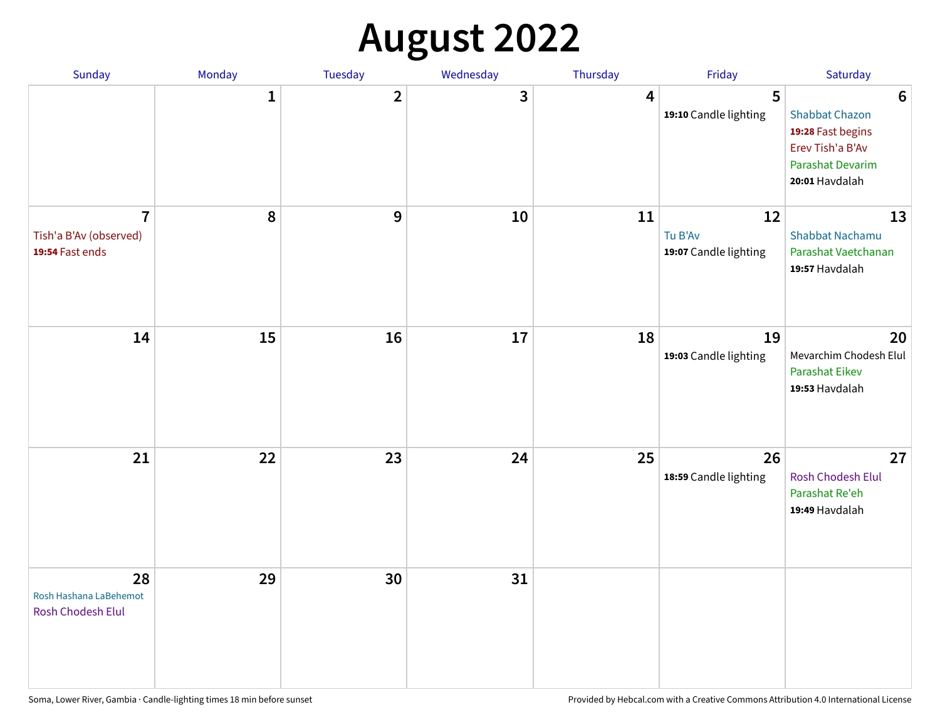## **August 2022**

| Sunday                                                      | Monday       | <b>Tuesday</b> | Wednesday | Thursday | Friday                                 | Saturday                                                                                                                       |
|-------------------------------------------------------------|--------------|----------------|-----------|----------|----------------------------------------|--------------------------------------------------------------------------------------------------------------------------------|
|                                                             | $\mathbf{1}$ | $\overline{2}$ | 3         | 4        | 5<br>19:10 Candle lighting             | $6\phantom{1}6$<br><b>Shabbat Chazon</b><br>19:28 Fast begins<br>Erev Tish'a B'Av<br><b>Parashat Devarim</b><br>20:01 Havdalah |
| $\overline{7}$<br>Tish'a B'Av (observed)<br>19:54 Fast ends | 8            | 9              | 10        | 11       | 12<br>Tu B'Av<br>19:07 Candle lighting | 13<br><b>Shabbat Nachamu</b><br>Parashat Vaetchanan<br>19:57 Havdalah                                                          |
| 14                                                          | 15           | 16             | 17        | 18       | 19<br>19:03 Candle lighting            | 20<br>Mevarchim Chodesh Elul<br><b>Parashat Eikev</b><br>19:53 Havdalah                                                        |
| 21                                                          | 22           | 23             | 24        | 25       | 26<br>18:59 Candle lighting            | 27<br><b>Rosh Chodesh Elul</b><br>Parashat Re'eh<br>19:49 Havdalah                                                             |
| 28<br>Rosh Hashana LaBehemot<br><b>Rosh Chodesh Elul</b>    | 29           | 30             | 31        |          |                                        |                                                                                                                                |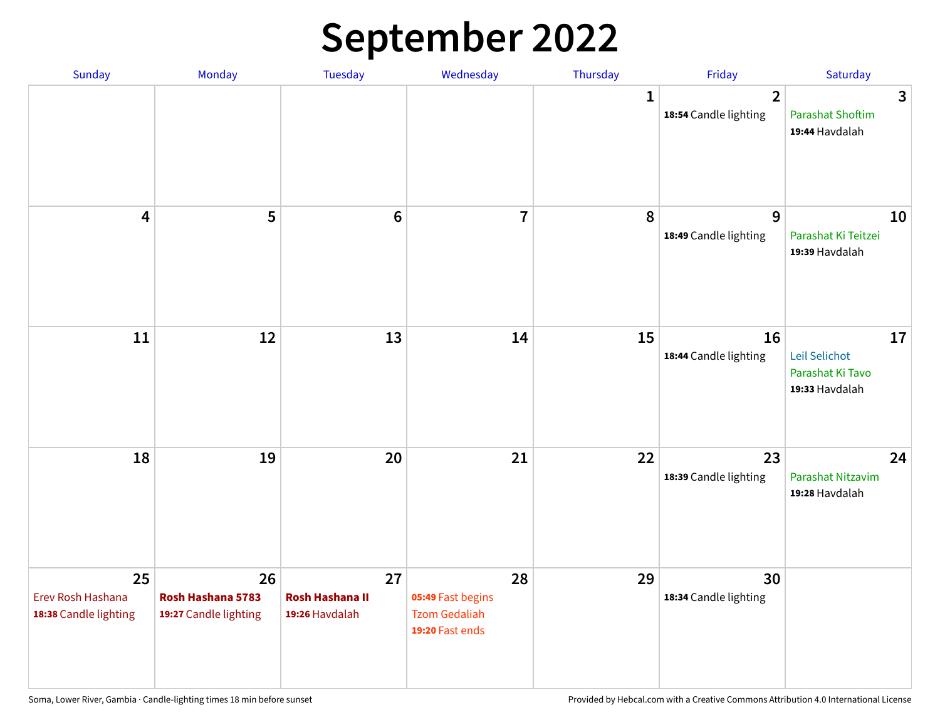## **September 2022**

| Sunday                                           | Monday                                           | Tuesday                                        | Wednesday                                                          | Thursday     | Friday                                  | Saturday                                                  |
|--------------------------------------------------|--------------------------------------------------|------------------------------------------------|--------------------------------------------------------------------|--------------|-----------------------------------------|-----------------------------------------------------------|
|                                                  |                                                  |                                                |                                                                    | $\mathbf{1}$ | $\overline{2}$<br>18:54 Candle lighting | 3<br><b>Parashat Shoftim</b><br>19:44 Havdalah            |
| $\overline{\mathbf{4}}$                          | 5                                                | $6\phantom{1}6$                                | $\overline{7}$                                                     | 8            | 9<br>18:49 Candle lighting              | 10<br>Parashat Ki Teitzei<br>19:39 Havdalah               |
| $11\,$                                           | 12                                               | 13                                             | 14                                                                 | 15           | 16<br>18:44 Candle lighting             | 17<br>Leil Selichot<br>Parashat Ki Tavo<br>19:33 Havdalah |
| 18                                               | 19                                               | 20                                             | 21                                                                 | 22           | 23<br>18:39 Candle lighting             | 24<br>Parashat Nitzavim<br>19:28 Havdalah                 |
| 25<br>Erev Rosh Hashana<br>18:38 Candle lighting | 26<br>Rosh Hashana 5783<br>19:27 Candle lighting | 27<br><b>Rosh Hashana II</b><br>19:26 Havdalah | 28<br>05:49 Fast begins<br><b>Tzom Gedaliah</b><br>19:20 Fast ends | 29           | 30<br>18:34 Candle lighting             |                                                           |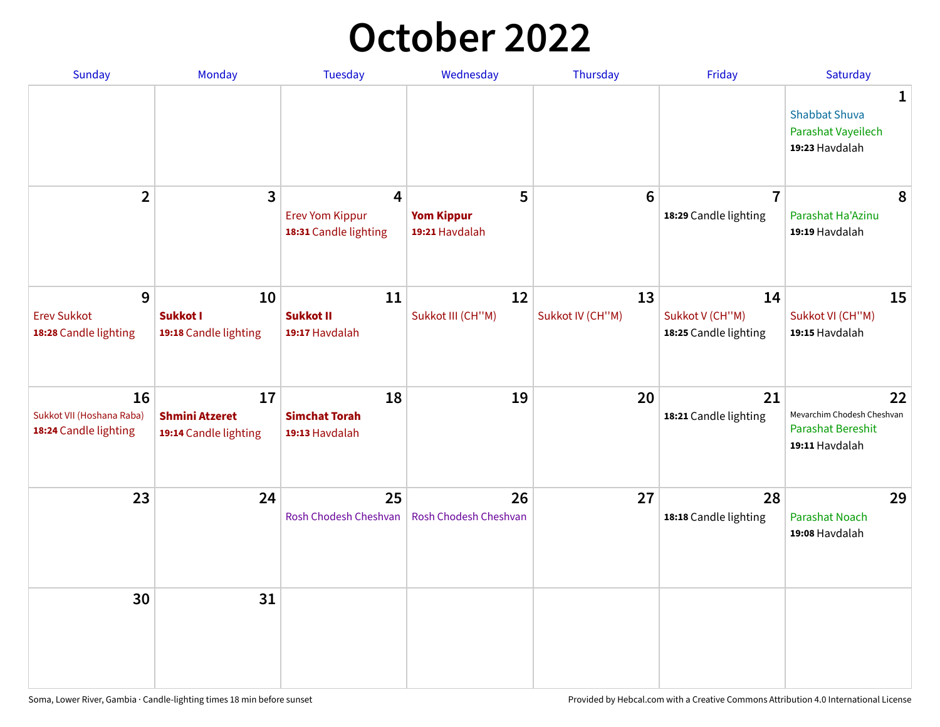## **October 2022**

| Sunday                                                   | <b>Monday</b>                                        | <b>Tuesday</b>                                                    | Wednesday                                | Thursday               | Friday                                         | Saturday                                                                |
|----------------------------------------------------------|------------------------------------------------------|-------------------------------------------------------------------|------------------------------------------|------------------------|------------------------------------------------|-------------------------------------------------------------------------|
|                                                          |                                                      |                                                                   |                                          |                        |                                                | 1<br><b>Shabbat Shuva</b><br>Parashat Vayeilech<br>19:23 Havdalah       |
| $\overline{2}$                                           | $\overline{\mathbf{3}}$                              | $\overline{4}$<br><b>Erev Yom Kippur</b><br>18:31 Candle lighting | 5<br><b>Yom Kippur</b><br>19:21 Havdalah | 6                      | $\overline{7}$<br>18:29 Candle lighting        | 8<br>Parashat Ha'Azinu<br>19:19 Havdalah                                |
| 9<br><b>Erev Sukkot</b><br>18:28 Candle lighting         | 10<br><b>Sukkot I</b><br>19:18 Candle lighting       | 11<br><b>Sukkot II</b><br>19:17 Havdalah                          | 12<br>Sukkot III (CH"M)                  | 13<br>Sukkot IV (CH"M) | 14<br>Sukkot V (CH"M)<br>18:25 Candle lighting | 15<br>Sukkot VI (CH"M)<br>19:15 Havdalah                                |
| 16<br>Sukkot VII (Hoshana Raba)<br>18:24 Candle lighting | 17<br><b>Shmini Atzeret</b><br>19:14 Candle lighting | 18<br><b>Simchat Torah</b><br>19:13 Havdalah                      | 19                                       | 20                     | 21<br>18:21 Candle lighting                    | 22<br>Mevarchim Chodesh Cheshvan<br>Parashat Bereshit<br>19:11 Havdalah |
| 23                                                       | 24                                                   | 25<br>Rosh Chodesh Cheshvan                                       | 26<br>Rosh Chodesh Cheshvan              | 27                     | 28<br>18:18 Candle lighting                    | 29<br><b>Parashat Noach</b><br>19:08 Havdalah                           |
| 30                                                       | 31                                                   |                                                                   |                                          |                        |                                                |                                                                         |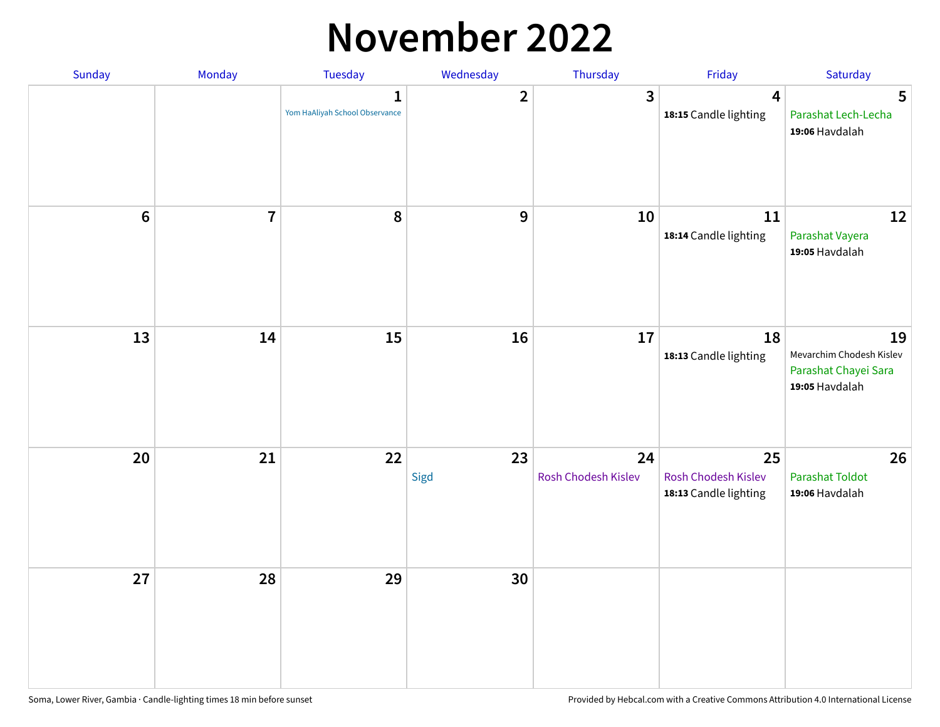### **November 2022**

| Sunday         | Monday         | Tuesday                             | Wednesday               | Thursday                  | Friday                                             | Saturday                                                                 |
|----------------|----------------|-------------------------------------|-------------------------|---------------------------|----------------------------------------------------|--------------------------------------------------------------------------|
|                |                | 1<br>Yom HaAliyah School Observance | $\overline{\mathbf{2}}$ | $\mathbf{3}$              | $\overline{\mathbf{4}}$<br>18:15 Candle lighting   | 5<br>Parashat Lech-Lecha<br>19:06 Havdalah                               |
| $6\phantom{1}$ | $\overline{7}$ | 8                                   | $\boldsymbol{9}$        | 10                        | 11<br>18:14 Candle lighting                        | 12<br>Parashat Vayera<br>19:05 Havdalah                                  |
| 13             | 14             | 15                                  | 16                      | 17                        | 18<br>18:13 Candle lighting                        | 19<br>Mevarchim Chodesh Kislev<br>Parashat Chayei Sara<br>19:05 Havdalah |
| 20             | 21             | 22                                  | 23<br>Sigd              | 24<br>Rosh Chodesh Kislev | 25<br>Rosh Chodesh Kislev<br>18:13 Candle lighting | 26<br><b>Parashat Toldot</b><br>19:06 Havdalah                           |
| 27             | 28             | 29                                  | 30                      |                           |                                                    |                                                                          |